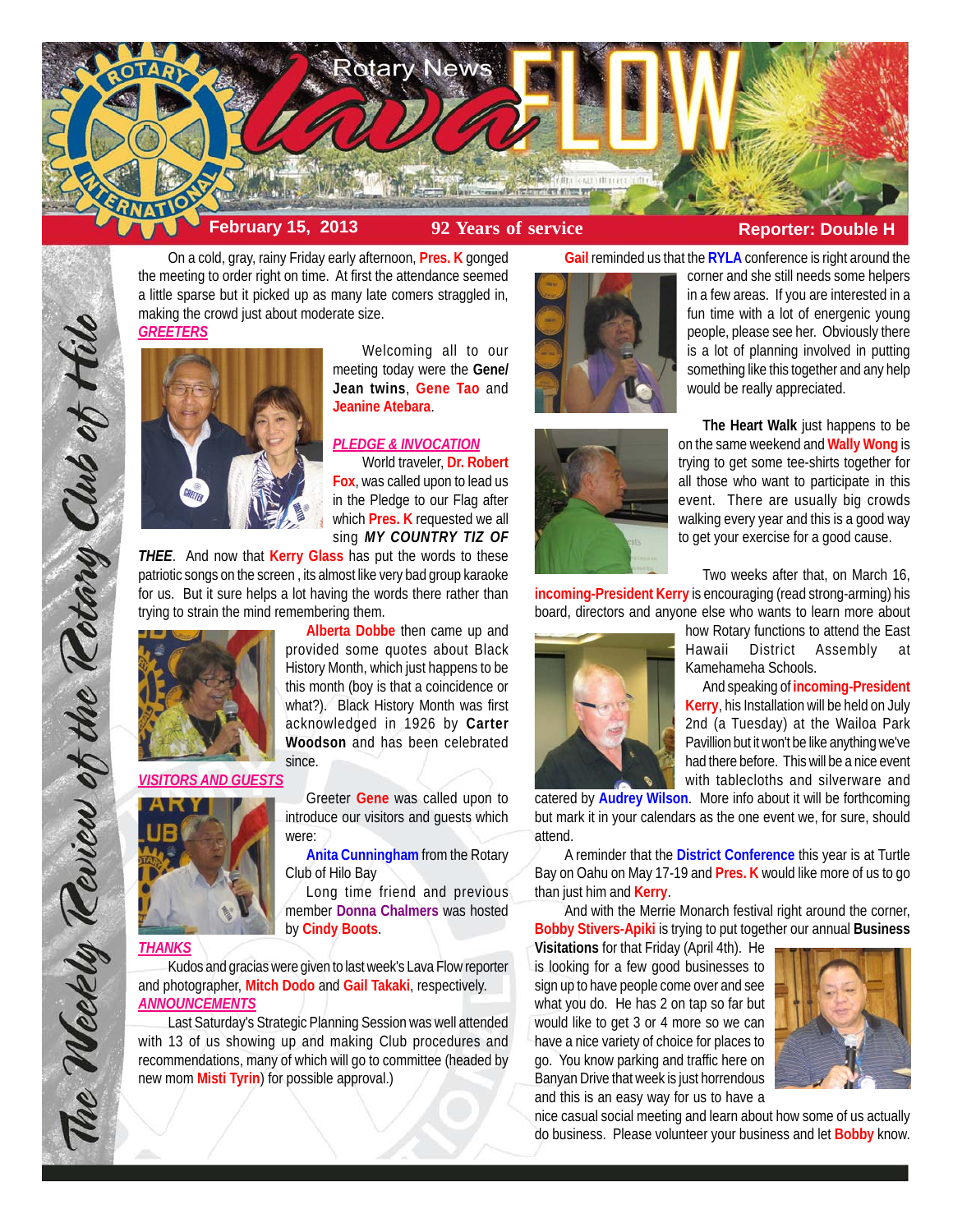

On a cold, gray, rainy Friday early afternoon, **Pres. K** gonged the meeting to order right on time. At first the attendance seemed a little sparse but it picked up as many late comers straggled in, making the crowd just about moderate size.





Welcoming all to our meeting today were the **Gene/ Jean twins**, **Gene Tao** and **Jeanine Atebara**.

# *PLEDGE & INVOCATION*

World traveler, **Dr. Robert Fox**, was called upon to lead us in the Pledge to our Flag after which **Pres. K** requested we all sing *MY COUNTRY TIZ OF*

**Alberta Dobbe** then came up and

Greeter **Gene** was called upon to introduce our visitors and guests which

**Anita Cunningham** from the Rotary

Long time friend and previous member **Donna Chalmers** was hosted

*THEE*. And now that **Kerry Glass** has put the words to these patriotic songs on the screen , its almost like very bad group karaoke for us. But it sure helps a lot having the words there rather than trying to strain the mind remembering them.



# *VISITORS AND GUESTS*



*THANKS*

The Weekly Teview of the Tetary Club of Hilo

Kudos and gracias were given to last week's Lava Flow reporter and photographer, **Mitch Dodo** and **Gail Takaki**, respectively. *ANNOUNCEMENTS*

Club of Hilo Bay

by **Cindy Boots**.

were:

Last Saturday's Strategic Planning Session was well attended with 13 of us showing up and making Club procedures and recommendations, many of which will go to committee (headed by new mom **Misti Tyrin**) for possible approval.)



**Gail** reminded us that the **RYLA** conference is right around the corner and she still needs some helpers in a few areas. If you are interested in a fun time with a lot of energenic young people, please see her. Obviously there is a lot of planning involved in putting something like this together and any help would be really appreciated.



**The Heart Walk** just happens to be on the same weekend and **Wally Wong** is trying to get some tee-shirts together for all those who want to participate in this event. There are usually big crowds walking every year and this is a good way to get your exercise for a good cause.

Two weeks after that, on March 16,

**incoming-President Kerry** is encouraging (read strong-arming) his board, directors and anyone else who wants to learn more about how Rotary functions to attend the East



Hawaii District Assembly Kamehameha Schools. And speaking of **incoming-President**

**Kerry**, his Installation will be held on July 2nd (a Tuesday) at the Wailoa Park Pavillion but it won't be like anything we've had there before. This will be a nice event with tablecloths and silverware and

catered by **Audrey Wilson**. More info about it will be forthcoming but mark it in your calendars as the one event we, for sure, should attend.

A reminder that the **District Conference** this year is at Turtle Bay on Oahu on May 17-19 and **Pres. K** would like more of us to go than just him and **Kerry**.

And with the Merrie Monarch festival right around the corner, **Bobby Stivers-Apiki** is trying to put together our annual **Business**

**Visitations** for that Friday (April 4th). He is looking for a few good businesses to sign up to have people come over and see what you do. He has 2 on tap so far but would like to get 3 or 4 more so we can have a nice variety of choice for places to go. You know parking and traffic here on Banyan Drive that week is just horrendous and this is an easy way for us to have a



nice casual social meeting and learn about how some of us actually do business. Please volunteer your business and let **Bobby** know.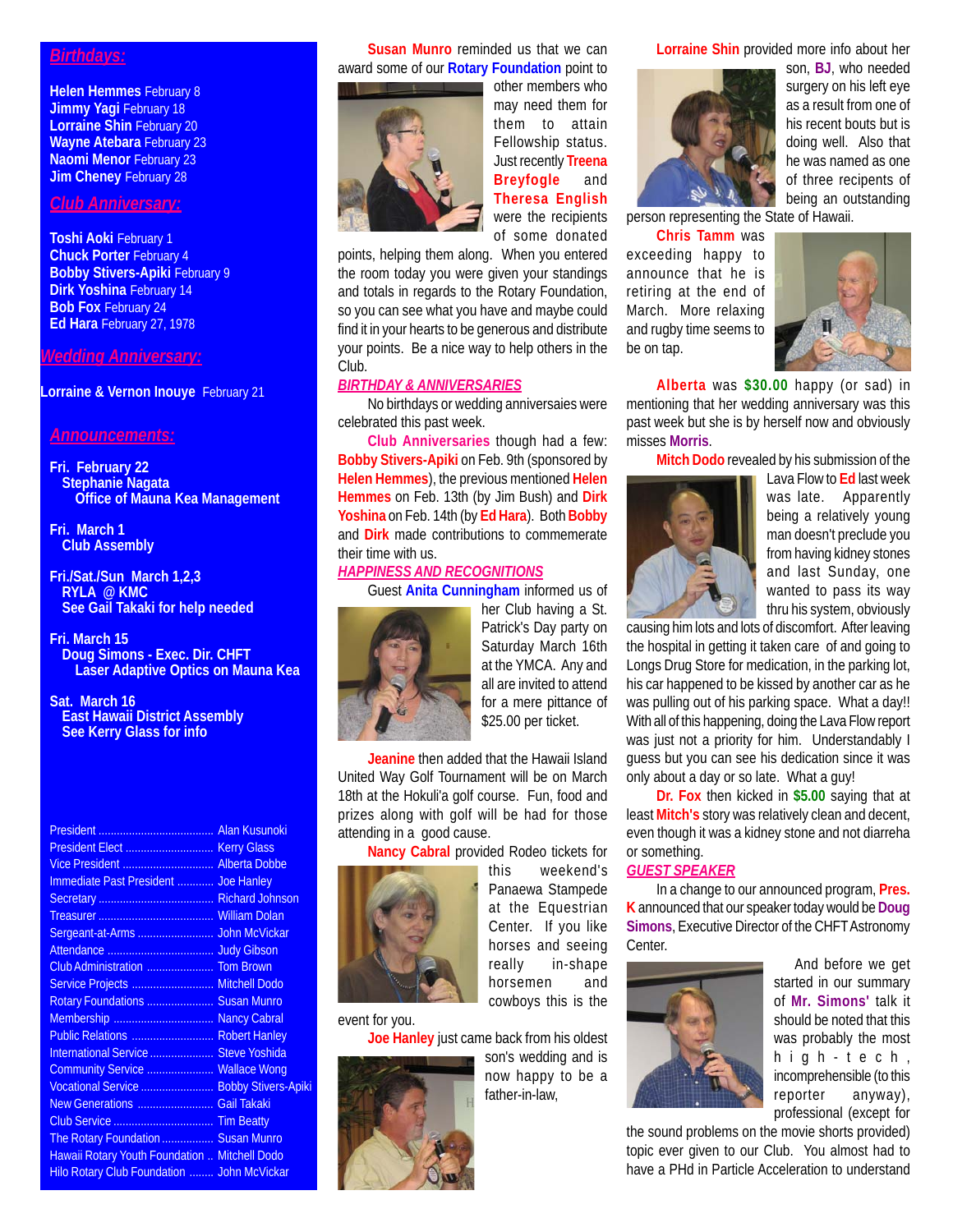### *Birthdays:*

**Helen Hemmes** February 8 **Jimmy Yagi February 18 Lorraine Shin** February 20 **Wayne Atebara** February 23 **Naomi Menor February 23 Jim Cheney February 28** 

# *Club Anniversary:*

**Toshi Aoki** February 1 **Chuck Porter** February 4 **Bobby Stivers-Apiki February 9 Dirk Yoshina** February 14 **Bob Fox February 24 Ed Hara** February 27, 1978

## *Wedding Anniversary:*

**Lorraine & Vernon Inouye** February 21

### *Announcements:*

- **Fri. February 22 Stephanie Nagata Office of Mauna Kea Management**
- **Fri. March 1 Club Assembly**
- **Fri./Sat./Sun March 1,2,3 RYLA @ KMC See Gail Takaki for help needed**
- **Fri. March 15 Doug Simons - Exec. Dir. CHFT Laser Adaptive Optics on Mauna Kea**

**Sat. March 16 East Hawaii District Assembly See Kerry Glass for info**

| Vice President  Alberta Dobbe                        |  |
|------------------------------------------------------|--|
| Immediate Past President  Joe Hanley                 |  |
|                                                      |  |
|                                                      |  |
|                                                      |  |
|                                                      |  |
|                                                      |  |
| Service Projects  Mitchell Dodo                      |  |
| Rotary Foundations  Susan Munro                      |  |
| Membership  Nancy Cabral                             |  |
| Public Relations  Robert Hanley                      |  |
| International Service  Steve Yoshida                 |  |
| Community Service  Wallace Wong                      |  |
| Vocational Service  Bobby Stivers-Apiki              |  |
| New Generations  Gail Takaki                         |  |
|                                                      |  |
| The Rotary Foundation  Susan Munro                   |  |
| <b>Hawaii Rotary Youth Foundation  Mitchell Dodo</b> |  |
| Hilo Rotary Club Foundation  John McVickar           |  |
|                                                      |  |

**Susan Munro** reminded us that we can award some of our **Rotary Foundation** point to



other members who may need them for them to attain Fellowship status. Just recently **Treena Breyfogle** and **Theresa English** were the recipients of some donated

points, helping them along. When you entered the room today you were given your standings and totals in regards to the Rotary Foundation, so you can see what you have and maybe could find it in your hearts to be generous and distribute your points. Be a nice way to help others in the Club.

## *BIRTHDAY & ANNIVERSARIES*

No birthdays or wedding anniversaies were celebrated this past week.

**Club Anniversaries** though had a few: **Bobby Stivers-Apiki** on Feb. 9th (sponsored by **Helen Hemmes**), the previous mentioned **Helen Hemmes** on Feb. 13th (by Jim Bush) and **Dirk Yoshina** on Feb. 14th (by **Ed Hara**). Both **Bobby** and **Dirk** made contributions to commemerate their time with us.

## *HAPPINESS AND RECOGNITIONS*

Guest **Anita Cunningham** informed us of



her Club having a St. Patrick's Day party on Saturday March 16th at the YMCA. Any and all are invited to attend for a mere pittance of \$25.00 per ticket.

**Jeanine** then added that the Hawaii Island United Way Golf Tournament will be on March 18th at the Hokuli'a golf course. Fun, food and prizes along with golf will be had for those attending in a good cause.

**Nancy Cabral** provided Rodeo tickets for



event for you.

**Joe Hanley** just came back from his oldest



this weekend's Panaewa Stampede at the Equestrian Center. If you like horses and seeing really in-shape horsemen and cowboys this is the

son's wedding and is now happy to be a father-in-law,

**Lorraine Shin** provided more info about her



son, **BJ**, who needed surgery on his left eye as a result from one of his recent bouts but is doing well. Also that he was named as one of three recipents of being an outstanding

person representing the State of Hawaii.

**Chris Tamm** was exceeding happy to announce that he is retiring at the end of March. More relaxing and rugby time seems to be on tap.



**Alberta** was **\$30.00** happy (or sad) in mentioning that her wedding anniversary was this past week but she is by herself now and obviously misses **Morris**.

**Mitch Dodo** revealed by his submission of the



Lava Flow to **Ed** last week was late. Apparently being a relatively young man doesn't preclude you from having kidney stones and last Sunday, one wanted to pass its way thru his system, obviously

causing him lots and lots of discomfort. After leaving the hospital in getting it taken care of and going to Longs Drug Store for medication, in the parking lot, his car happened to be kissed by another car as he was pulling out of his parking space. What a day!! With all of this happening, doing the Lava Flow report was just not a priority for him. Understandably I guess but you can see his dedication since it was only about a day or so late. What a guy!

**Dr. Fox** then kicked in **\$5.00** saying that at least **Mitch's** story was relatively clean and decent, even though it was a kidney stone and not diarreha or something.

### *GUEST SPEAKER*

In a change to our announced program, **Pres. K** announced that our speaker today would be **Doug Simons**, Executive Director of the CHFT Astronomy Center.



And before we get started in our summary of **Mr. Simons'** talk it should be noted that this was probably the most high-tech, incomprehensible (to this reporter anyway), professional (except for

the sound problems on the movie shorts provided) topic ever given to our Club. You almost had to have a PHd in Particle Acceleration to understand